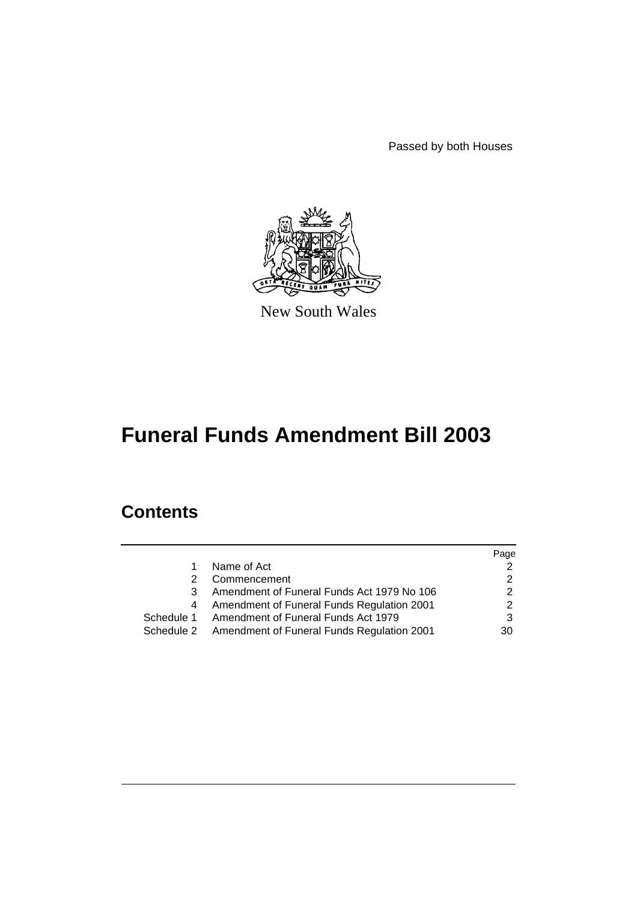Passed by both Houses



New South Wales

# **Funeral Funds Amendment Bill 2003**

# **Contents**

|   |                                                       | Page |
|---|-------------------------------------------------------|------|
| 1 | Name of Act                                           |      |
| 2 | Commencement                                          |      |
| 3 | Amendment of Funeral Funds Act 1979 No 106            |      |
| 4 | Amendment of Funeral Funds Regulation 2001            |      |
|   | Schedule 1 Amendment of Funeral Funds Act 1979        | 3    |
|   | Schedule 2 Amendment of Funeral Funds Regulation 2001 | 30   |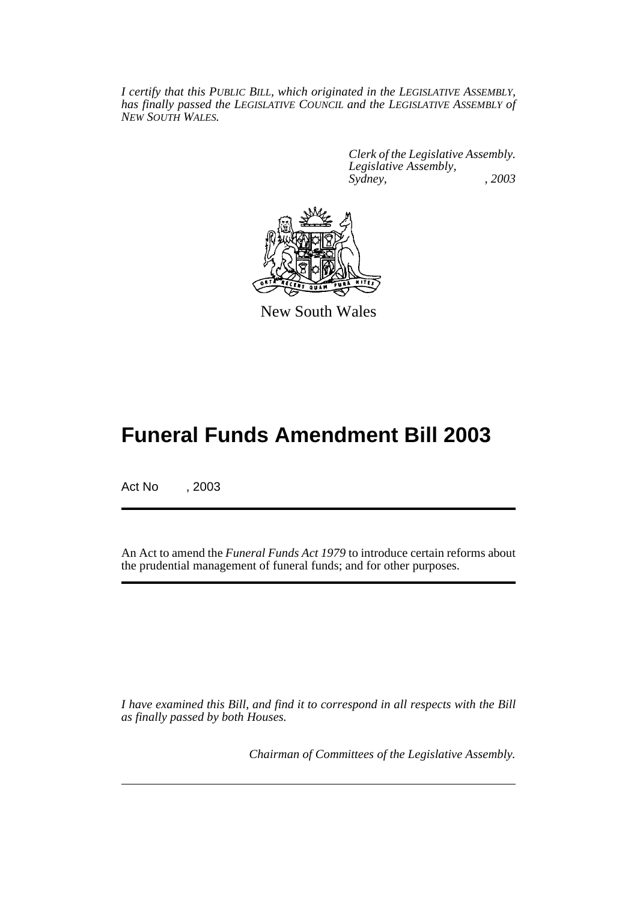*I certify that this PUBLIC BILL, which originated in the LEGISLATIVE ASSEMBLY, has finally passed the LEGISLATIVE COUNCIL and the LEGISLATIVE ASSEMBLY of NEW SOUTH WALES.*

> *Clerk of the Legislative Assembly. Legislative Assembly, Sydney, , 2003*



New South Wales

# **Funeral Funds Amendment Bill 2003**

Act No , 2003

An Act to amend the *Funeral Funds Act 1979* to introduce certain reforms about the prudential management of funeral funds; and for other purposes.

*I have examined this Bill, and find it to correspond in all respects with the Bill as finally passed by both Houses.*

*Chairman of Committees of the Legislative Assembly.*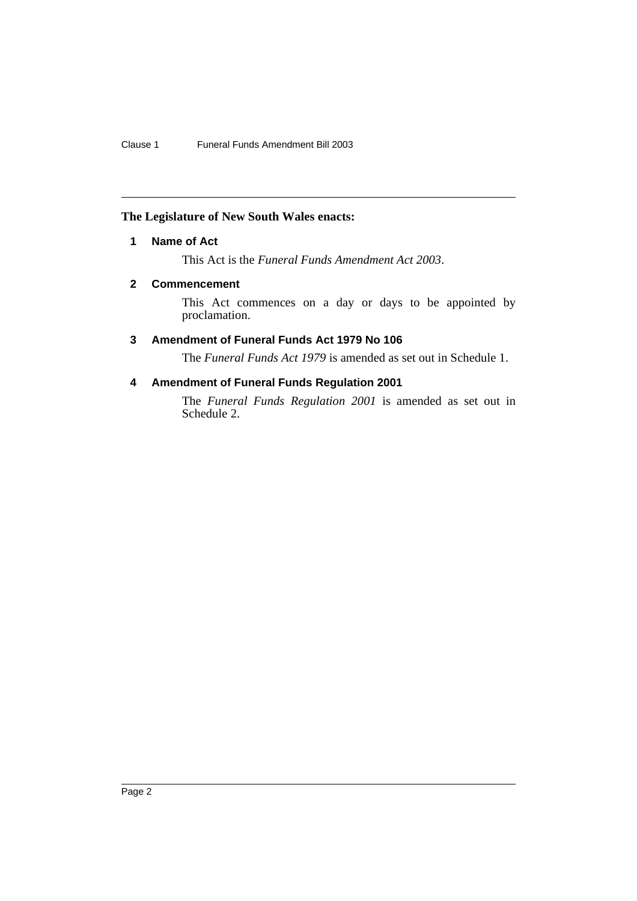## **The Legislature of New South Wales enacts:**

## **1 Name of Act**

This Act is the *Funeral Funds Amendment Act 2003*.

## **2 Commencement**

This Act commences on a day or days to be appointed by proclamation.

## **3 Amendment of Funeral Funds Act 1979 No 106**

The *Funeral Funds Act 1979* is amended as set out in Schedule 1.

## **4 Amendment of Funeral Funds Regulation 2001**

The *Funeral Funds Regulation 2001* is amended as set out in Schedule 2.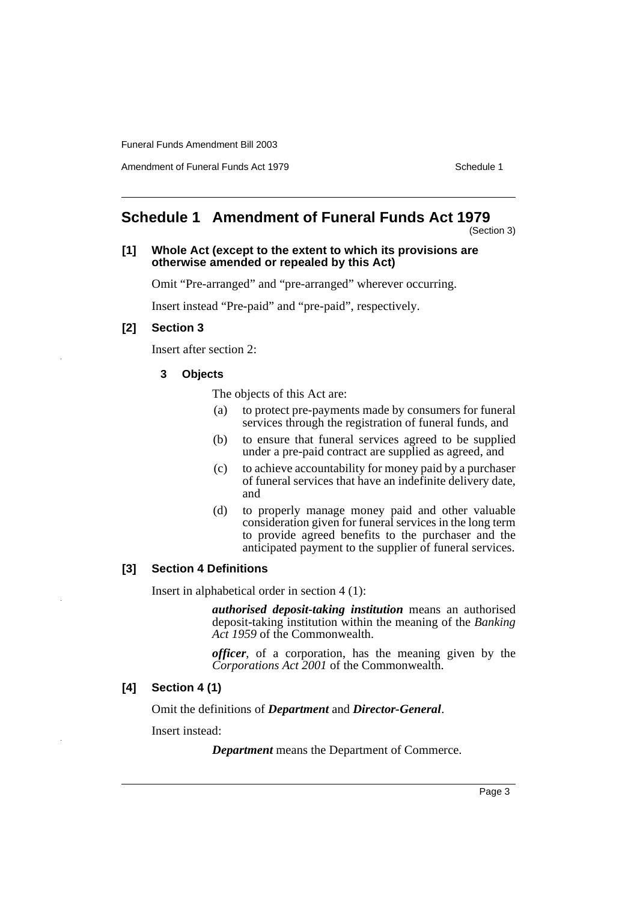Amendment of Funeral Funds Act 1979 Schedule 1

# **Schedule 1 Amendment of Funeral Funds Act 1979**

(Section 3)

#### **[1] Whole Act (except to the extent to which its provisions are otherwise amended or repealed by this Act)**

Omit "Pre-arranged" and "pre-arranged" wherever occurring.

Insert instead "Pre-paid" and "pre-paid", respectively.

## **[2] Section 3**

Insert after section 2:

## **3 Objects**

The objects of this Act are:

- (a) to protect pre-payments made by consumers for funeral services through the registration of funeral funds, and
- (b) to ensure that funeral services agreed to be supplied under a pre-paid contract are supplied as agreed, and
- (c) to achieve accountability for money paid by a purchaser of funeral services that have an indefinite delivery date, and
- (d) to properly manage money paid and other valuable consideration given for funeral services in the long term to provide agreed benefits to the purchaser and the anticipated payment to the supplier of funeral services.

#### **[3] Section 4 Definitions**

Insert in alphabetical order in section 4 (1):

*authorised deposit-taking institution* means an authorised deposit-taking institution within the meaning of the *Banking Act 1959* of the Commonwealth.

*officer*, of a corporation, has the meaning given by the *Corporations Act 2001* of the Commonwealth.

## **[4] Section 4 (1)**

Omit the definitions of *Department* and *Director-General*.

Insert instead:

*Department* means the Department of Commerce.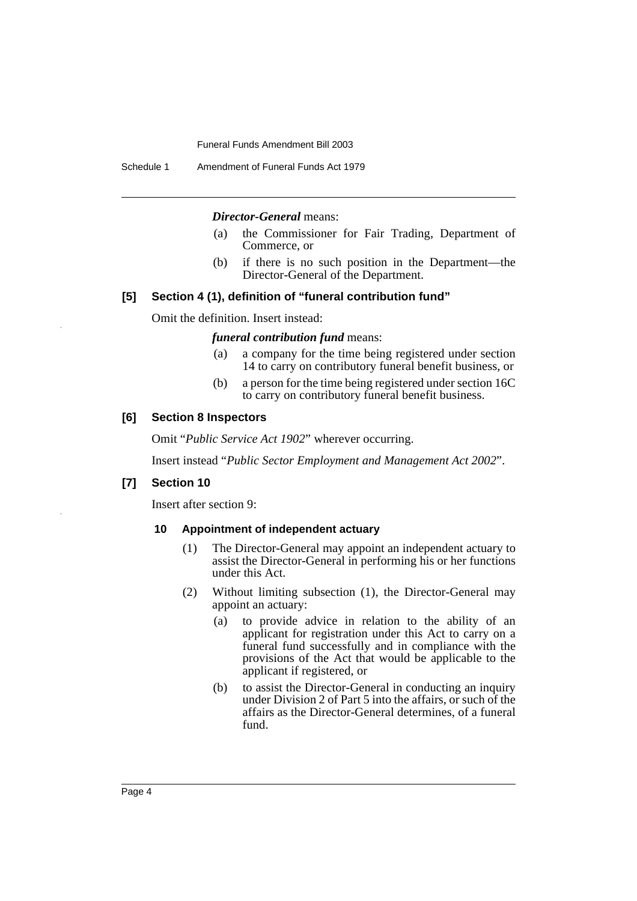Schedule 1 Amendment of Funeral Funds Act 1979

#### *Director-General* means:

- (a) the Commissioner for Fair Trading, Department of Commerce, or
- (b) if there is no such position in the Department—the Director-General of the Department.

## **[5] Section 4 (1), definition of "funeral contribution fund"**

Omit the definition. Insert instead:

#### *funeral contribution fund* means:

- (a) a company for the time being registered under section 14 to carry on contributory funeral benefit business, or
- (b) a person for the time being registered under section 16C to carry on contributory funeral benefit business.

#### **[6] Section 8 Inspectors**

Omit "*Public Service Act 1902*" wherever occurring.

Insert instead "*Public Sector Employment and Management Act 2002*".

## **[7] Section 10**

Insert after section 9:

#### **10 Appointment of independent actuary**

- (1) The Director-General may appoint an independent actuary to assist the Director-General in performing his or her functions under this Act.
- (2) Without limiting subsection (1), the Director-General may appoint an actuary:
	- (a) to provide advice in relation to the ability of an applicant for registration under this Act to carry on a funeral fund successfully and in compliance with the provisions of the Act that would be applicable to the applicant if registered, or
	- (b) to assist the Director-General in conducting an inquiry under Division 2 of Part 5 into the affairs, or such of the affairs as the Director-General determines, of a funeral fund.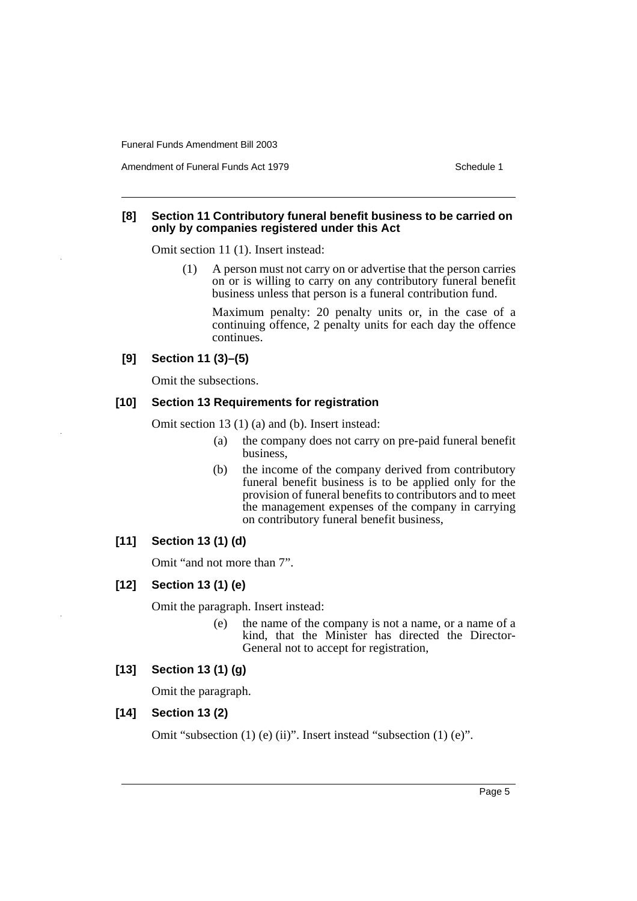Amendment of Funeral Funds Act 1979 Schedule 1

## **[8] Section 11 Contributory funeral benefit business to be carried on only by companies registered under this Act**

Omit section 11 (1). Insert instead:

(1) A person must not carry on or advertise that the person carries on or is willing to carry on any contributory funeral benefit business unless that person is a funeral contribution fund.

Maximum penalty: 20 penalty units or, in the case of a continuing offence, 2 penalty units for each day the offence continues.

## **[9] Section 11 (3)–(5)**

Omit the subsections.

## **[10] Section 13 Requirements for registration**

Omit section 13 (1) (a) and (b). Insert instead:

- (a) the company does not carry on pre-paid funeral benefit business,
- (b) the income of the company derived from contributory funeral benefit business is to be applied only for the provision of funeral benefits to contributors and to meet the management expenses of the company in carrying on contributory funeral benefit business,

## **[11] Section 13 (1) (d)**

Omit "and not more than 7".

## **[12] Section 13 (1) (e)**

Omit the paragraph. Insert instead:

(e) the name of the company is not a name, or a name of a kind, that the Minister has directed the Director-General not to accept for registration,

## **[13] Section 13 (1) (g)**

Omit the paragraph.

## **[14] Section 13 (2)**

Omit "subsection (1) (e) (ii)". Insert instead "subsection (1) (e)".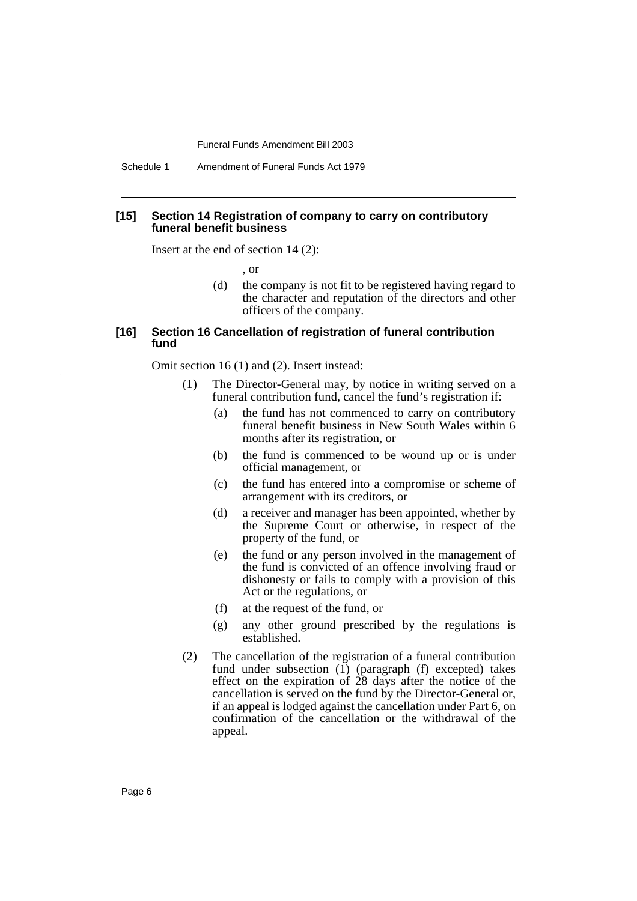Schedule 1 Amendment of Funeral Funds Act 1979

## **[15] Section 14 Registration of company to carry on contributory funeral benefit business**

Insert at the end of section 14 (2):

, or

(d) the company is not fit to be registered having regard to the character and reputation of the directors and other officers of the company.

## **[16] Section 16 Cancellation of registration of funeral contribution fund**

Omit section 16 (1) and (2). Insert instead:

- (1) The Director-General may, by notice in writing served on a funeral contribution fund, cancel the fund's registration if:
	- (a) the fund has not commenced to carry on contributory funeral benefit business in New South Wales within 6 months after its registration, or
	- (b) the fund is commenced to be wound up or is under official management, or
	- (c) the fund has entered into a compromise or scheme of arrangement with its creditors, or
	- (d) a receiver and manager has been appointed, whether by the Supreme Court or otherwise, in respect of the property of the fund, or
	- (e) the fund or any person involved in the management of the fund is convicted of an offence involving fraud or dishonesty or fails to comply with a provision of this Act or the regulations, or
	- (f) at the request of the fund, or
	- (g) any other ground prescribed by the regulations is established.
- (2) The cancellation of the registration of a funeral contribution fund under subsection  $(1)$  (paragraph  $(f)$  excepted) takes effect on the expiration of 28 days after the notice of the cancellation is served on the fund by the Director-General or, if an appeal is lodged against the cancellation under Part 6, on confirmation of the cancellation or the withdrawal of the appeal.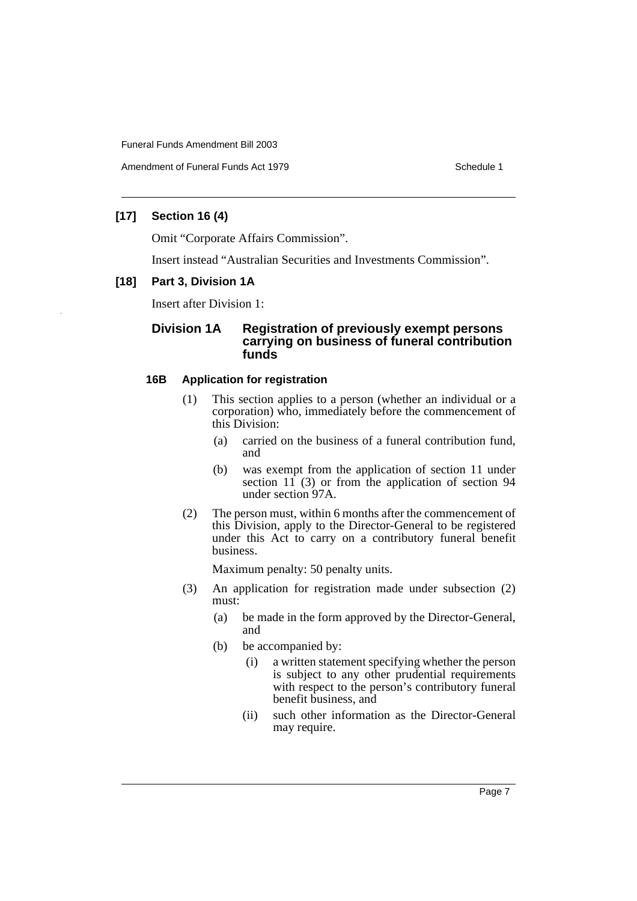Amendment of Funeral Funds Act 1979 Schedule 1

## **[17] Section 16 (4)**

Omit "Corporate Affairs Commission".

Insert instead "Australian Securities and Investments Commission".

## **[18] Part 3, Division 1A**

Insert after Division 1:

## **Division 1A Registration of previously exempt persons carrying on business of funeral contribution funds**

## **16B Application for registration**

- (1) This section applies to a person (whether an individual or a corporation) who, immediately before the commencement of this Division:
	- (a) carried on the business of a funeral contribution fund, and
	- (b) was exempt from the application of section 11 under section  $11 \overline{)}$  (3) or from the application of section 94 under section 97A.
- (2) The person must, within 6 months after the commencement of this Division, apply to the Director-General to be registered under this Act to carry on a contributory funeral benefit business.

Maximum penalty: 50 penalty units.

- (3) An application for registration made under subsection (2) must:
	- (a) be made in the form approved by the Director-General, and
	- (b) be accompanied by:
		- (i) a written statement specifying whether the person is subject to any other prudential requirements with respect to the person's contributory funeral benefit business, and
		- (ii) such other information as the Director-General may require.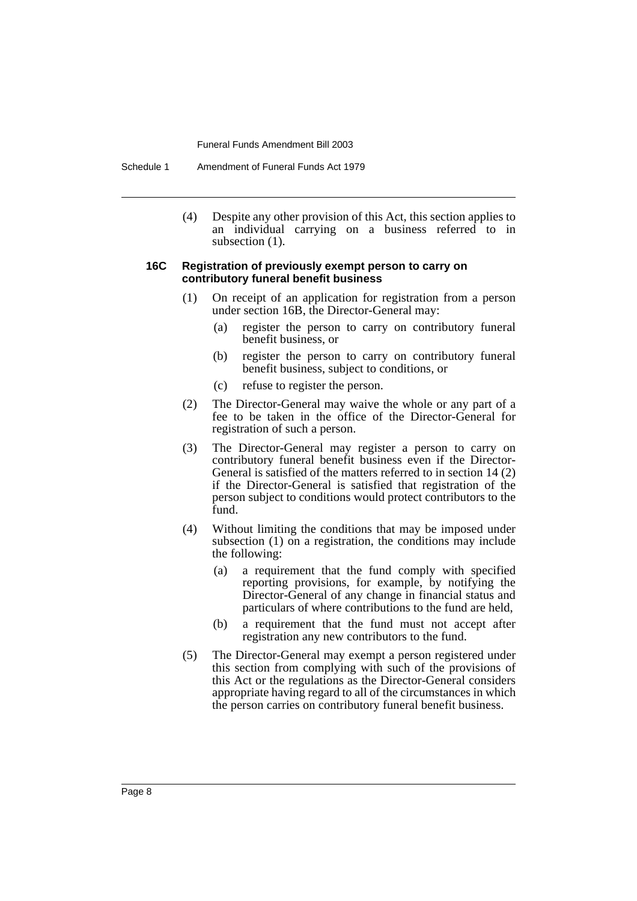Schedule 1 Amendment of Funeral Funds Act 1979

(4) Despite any other provision of this Act, this section applies to an individual carrying on a business referred to in subsection  $(1)$ .

#### **16C Registration of previously exempt person to carry on contributory funeral benefit business**

- (1) On receipt of an application for registration from a person under section 16B, the Director-General may:
	- (a) register the person to carry on contributory funeral benefit business, or
	- (b) register the person to carry on contributory funeral benefit business, subject to conditions, or
	- (c) refuse to register the person.
- (2) The Director-General may waive the whole or any part of a fee to be taken in the office of the Director-General for registration of such a person.
- (3) The Director-General may register a person to carry on contributory funeral benefit business even if the Director-General is satisfied of the matters referred to in section 14 (2) if the Director-General is satisfied that registration of the person subject to conditions would protect contributors to the fund.
- (4) Without limiting the conditions that may be imposed under subsection (1) on a registration, the conditions may include the following:
	- (a) a requirement that the fund comply with specified reporting provisions, for example, by notifying the Director-General of any change in financial status and particulars of where contributions to the fund are held,
	- (b) a requirement that the fund must not accept after registration any new contributors to the fund.
- (5) The Director-General may exempt a person registered under this section from complying with such of the provisions of this Act or the regulations as the Director-General considers appropriate having regard to all of the circumstances in which the person carries on contributory funeral benefit business.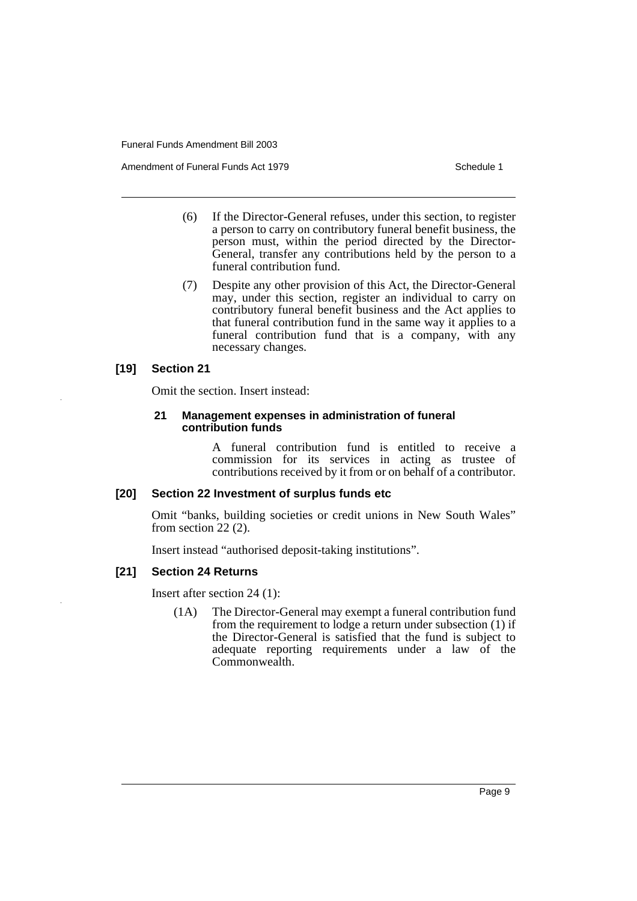Amendment of Funeral Funds Act 1979 Schedule 1

- (6) If the Director-General refuses, under this section, to register a person to carry on contributory funeral benefit business, the person must, within the period directed by the Director-General, transfer any contributions held by the person to a funeral contribution fund.
- (7) Despite any other provision of this Act, the Director-General may, under this section, register an individual to carry on contributory funeral benefit business and the Act applies to that funeral contribution fund in the same way it applies to a funeral contribution fund that is a company, with any necessary changes.

## **[19] Section 21**

Omit the section. Insert instead:

#### **21 Management expenses in administration of funeral contribution funds**

A funeral contribution fund is entitled to receive a commission for its services in acting as trustee of contributions received by it from or on behalf of a contributor.

## **[20] Section 22 Investment of surplus funds etc**

Omit "banks, building societies or credit unions in New South Wales" from section 22 (2).

Insert instead "authorised deposit-taking institutions".

## **[21] Section 24 Returns**

Insert after section 24 (1):

(1A) The Director-General may exempt a funeral contribution fund from the requirement to lodge a return under subsection (1) if the Director-General is satisfied that the fund is subject to adequate reporting requirements under a law of the Commonwealth.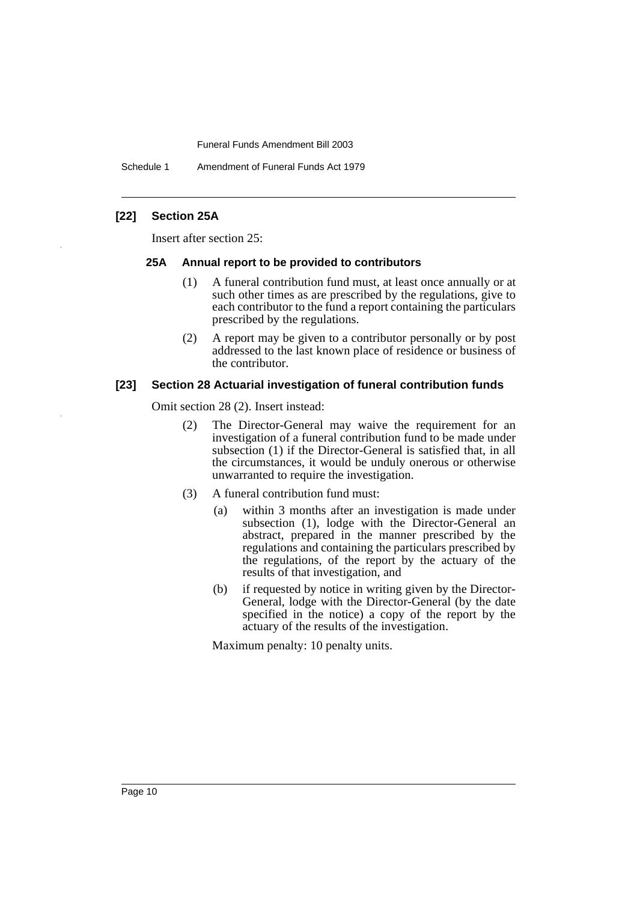Schedule 1 Amendment of Funeral Funds Act 1979

## **[22] Section 25A**

Insert after section 25:

#### **25A Annual report to be provided to contributors**

- (1) A funeral contribution fund must, at least once annually or at such other times as are prescribed by the regulations, give to each contributor to the fund a report containing the particulars prescribed by the regulations.
- (2) A report may be given to a contributor personally or by post addressed to the last known place of residence or business of the contributor.

#### **[23] Section 28 Actuarial investigation of funeral contribution funds**

Omit section 28 (2). Insert instead:

- (2) The Director-General may waive the requirement for an investigation of a funeral contribution fund to be made under subsection (1) if the Director-General is satisfied that, in all the circumstances, it would be unduly onerous or otherwise unwarranted to require the investigation.
- (3) A funeral contribution fund must:
	- (a) within 3 months after an investigation is made under subsection (1), lodge with the Director-General an abstract, prepared in the manner prescribed by the regulations and containing the particulars prescribed by the regulations, of the report by the actuary of the results of that investigation, and
	- (b) if requested by notice in writing given by the Director-General, lodge with the Director-General (by the date specified in the notice) a copy of the report by the actuary of the results of the investigation.

Maximum penalty: 10 penalty units.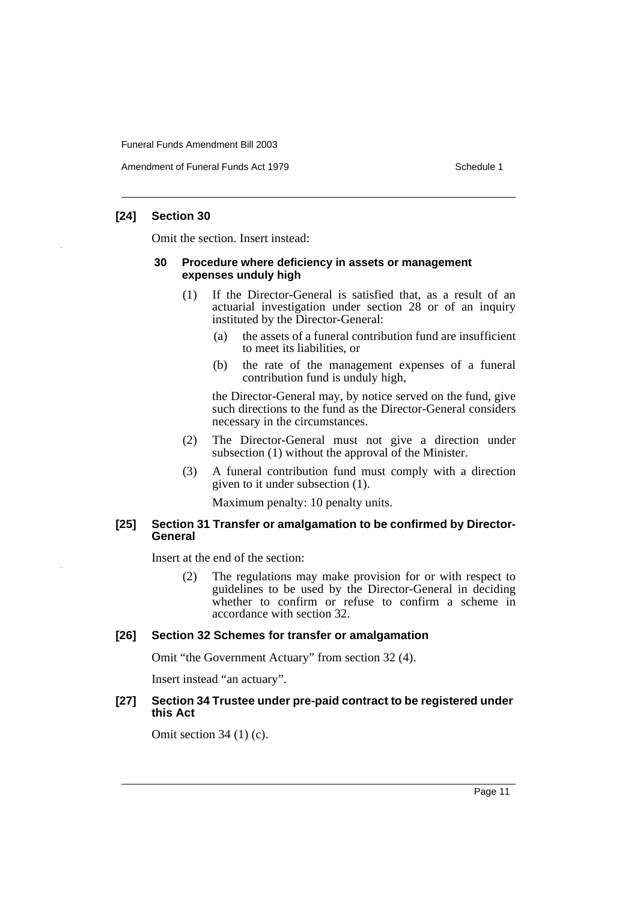Amendment of Funeral Funds Act 1979 Schedule 1

## **[24] Section 30**

Omit the section. Insert instead:

#### **30 Procedure where deficiency in assets or management expenses unduly high**

- (1) If the Director-General is satisfied that, as a result of an actuarial investigation under section 28 or of an inquiry instituted by the Director-General:
	- (a) the assets of a funeral contribution fund are insufficient to meet its liabilities, or
	- (b) the rate of the management expenses of a funeral contribution fund is unduly high,

the Director-General may, by notice served on the fund, give such directions to the fund as the Director-General considers necessary in the circumstances.

- (2) The Director-General must not give a direction under subsection (1) without the approval of the Minister.
- (3) A funeral contribution fund must comply with a direction given to it under subsection (1).

Maximum penalty: 10 penalty units.

## **[25] Section 31 Transfer or amalgamation to be confirmed by Director-General**

Insert at the end of the section:

(2) The regulations may make provision for or with respect to guidelines to be used by the Director-General in deciding whether to confirm or refuse to confirm a scheme in accordance with section 32.

## **[26] Section 32 Schemes for transfer or amalgamation**

Omit "the Government Actuary" from section 32 (4).

Insert instead "an actuary".

## **[27] Section 34 Trustee under pre-paid contract to be registered under this Act**

Omit section 34 (1) (c).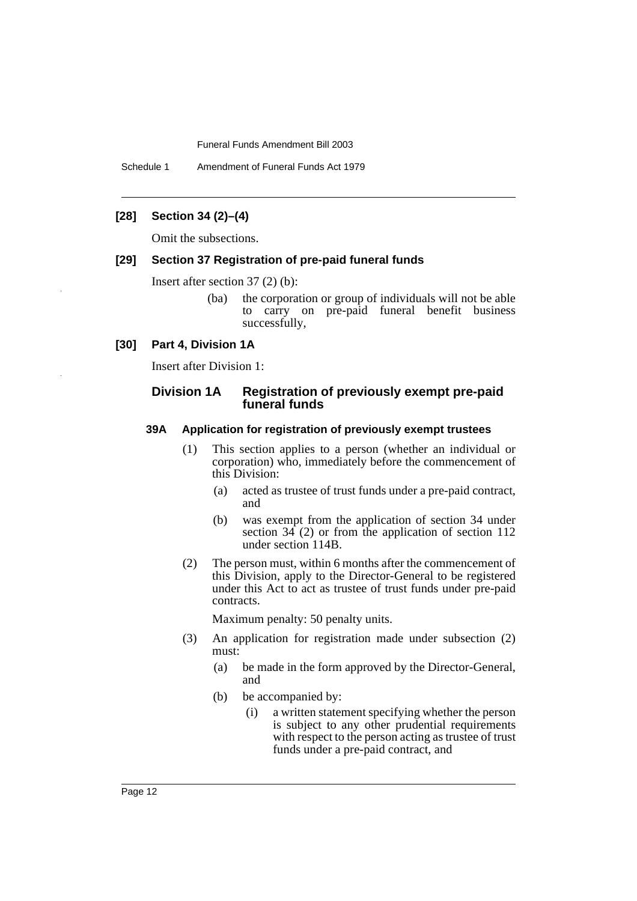Schedule 1 Amendment of Funeral Funds Act 1979

## **[28] Section 34 (2)–(4)**

Omit the subsections.

## **[29] Section 37 Registration of pre-paid funeral funds**

Insert after section 37 (2) (b):

(ba) the corporation or group of individuals will not be able to carry on pre-paid funeral benefit business successfully,

## **[30] Part 4, Division 1A**

Insert after Division 1:

## **Division 1A Registration of previously exempt pre-paid funeral funds**

#### **39A Application for registration of previously exempt trustees**

- (1) This section applies to a person (whether an individual or corporation) who, immediately before the commencement of this Division:
	- (a) acted as trustee of trust funds under a pre-paid contract, and
	- (b) was exempt from the application of section 34 under section 34 (2) or from the application of section 112 under section 114B.
- (2) The person must, within 6 months after the commencement of this Division, apply to the Director-General to be registered under this Act to act as trustee of trust funds under pre-paid contracts.

Maximum penalty: 50 penalty units.

- (3) An application for registration made under subsection (2) must:
	- (a) be made in the form approved by the Director-General, and
	- (b) be accompanied by:
		- (i) a written statement specifying whether the person is subject to any other prudential requirements with respect to the person acting as trustee of trust funds under a pre-paid contract, and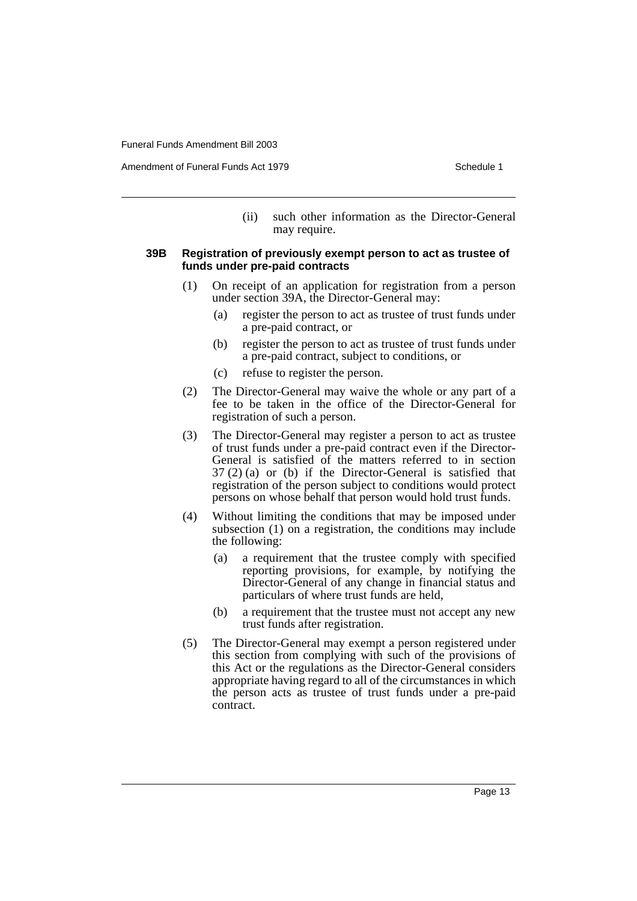Amendment of Funeral Funds Act 1979 Schedule 1

(ii) such other information as the Director-General may require.

## **39B Registration of previously exempt person to act as trustee of funds under pre-paid contracts**

- (1) On receipt of an application for registration from a person under section 39A, the Director-General may:
	- (a) register the person to act as trustee of trust funds under a pre-paid contract, or
	- (b) register the person to act as trustee of trust funds under a pre-paid contract, subject to conditions, or
	- (c) refuse to register the person.
- (2) The Director-General may waive the whole or any part of a fee to be taken in the office of the Director-General for registration of such a person.
- (3) The Director-General may register a person to act as trustee of trust funds under a pre-paid contract even if the Director-General is satisfied of the matters referred to in section 37 (2) (a) or (b) if the Director-General is satisfied that registration of the person subject to conditions would protect persons on whose behalf that person would hold trust funds.
- (4) Without limiting the conditions that may be imposed under subsection (1) on a registration, the conditions may include the following:
	- (a) a requirement that the trustee comply with specified reporting provisions, for example, by notifying the Director-General of any change in financial status and particulars of where trust funds are held,
	- (b) a requirement that the trustee must not accept any new trust funds after registration.
- (5) The Director-General may exempt a person registered under this section from complying with such of the provisions of this Act or the regulations as the Director-General considers appropriate having regard to all of the circumstances in which the person acts as trustee of trust funds under a pre-paid contract.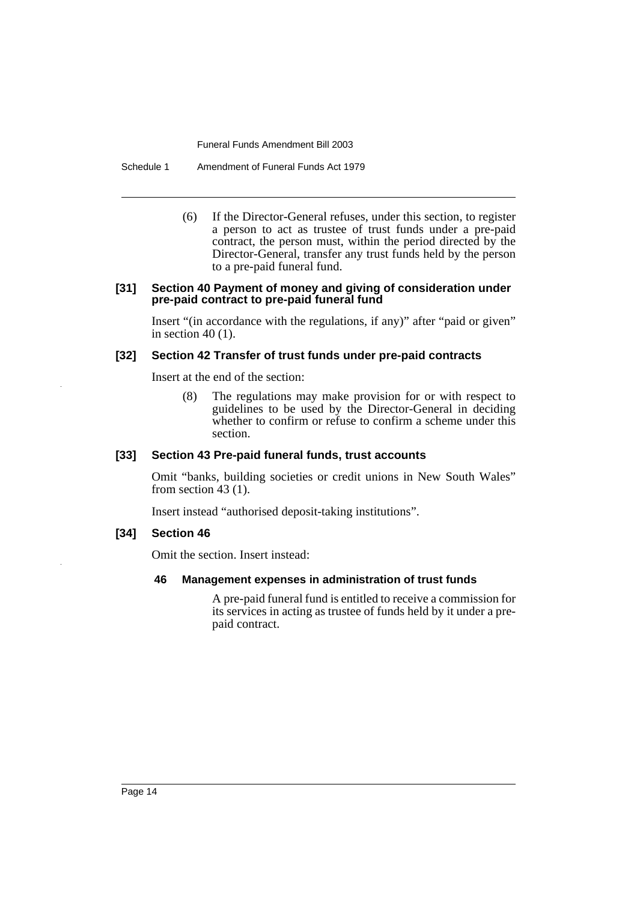Schedule 1 Amendment of Funeral Funds Act 1979

(6) If the Director-General refuses, under this section, to register a person to act as trustee of trust funds under a pre-paid contract, the person must, within the period directed by the Director-General, transfer any trust funds held by the person to a pre-paid funeral fund.

#### **[31] Section 40 Payment of money and giving of consideration under pre-paid contract to pre-paid funeral fund**

Insert "(in accordance with the regulations, if any)" after "paid or given" in section  $40(1)$ .

## **[32] Section 42 Transfer of trust funds under pre-paid contracts**

Insert at the end of the section:

(8) The regulations may make provision for or with respect to guidelines to be used by the Director-General in deciding whether to confirm or refuse to confirm a scheme under this section.

## **[33] Section 43 Pre-paid funeral funds, trust accounts**

Omit "banks, building societies or credit unions in New South Wales" from section 43 (1).

Insert instead "authorised deposit-taking institutions".

#### **[34] Section 46**

Omit the section. Insert instead:

#### **46 Management expenses in administration of trust funds**

A pre-paid funeral fund is entitled to receive a commission for its services in acting as trustee of funds held by it under a prepaid contract.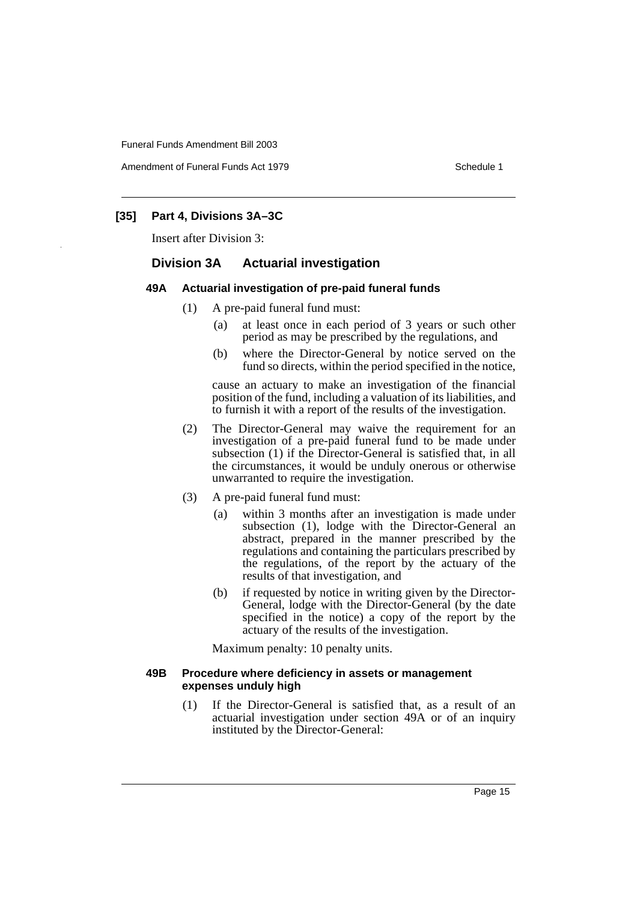Amendment of Funeral Funds Act 1979 Schedule 1

## **[35] Part 4, Divisions 3A–3C**

Insert after Division 3:

## **Division 3A Actuarial investigation**

## **49A Actuarial investigation of pre-paid funeral funds**

- (1) A pre-paid funeral fund must:
	- (a) at least once in each period of 3 years or such other period as may be prescribed by the regulations, and
	- (b) where the Director-General by notice served on the fund so directs, within the period specified in the notice,

cause an actuary to make an investigation of the financial position of the fund, including a valuation of its liabilities, and to furnish it with a report of the results of the investigation.

- (2) The Director-General may waive the requirement for an investigation of a pre-paid funeral fund to be made under subsection (1) if the Director-General is satisfied that, in all the circumstances, it would be unduly onerous or otherwise unwarranted to require the investigation.
- (3) A pre-paid funeral fund must:
	- (a) within 3 months after an investigation is made under subsection (1), lodge with the Director-General an abstract, prepared in the manner prescribed by the regulations and containing the particulars prescribed by the regulations, of the report by the actuary of the results of that investigation, and
	- (b) if requested by notice in writing given by the Director-General, lodge with the Director-General (by the date specified in the notice) a copy of the report by the actuary of the results of the investigation.

Maximum penalty: 10 penalty units.

## **49B Procedure where deficiency in assets or management expenses unduly high**

(1) If the Director-General is satisfied that, as a result of an actuarial investigation under section 49A or of an inquiry instituted by the Director-General: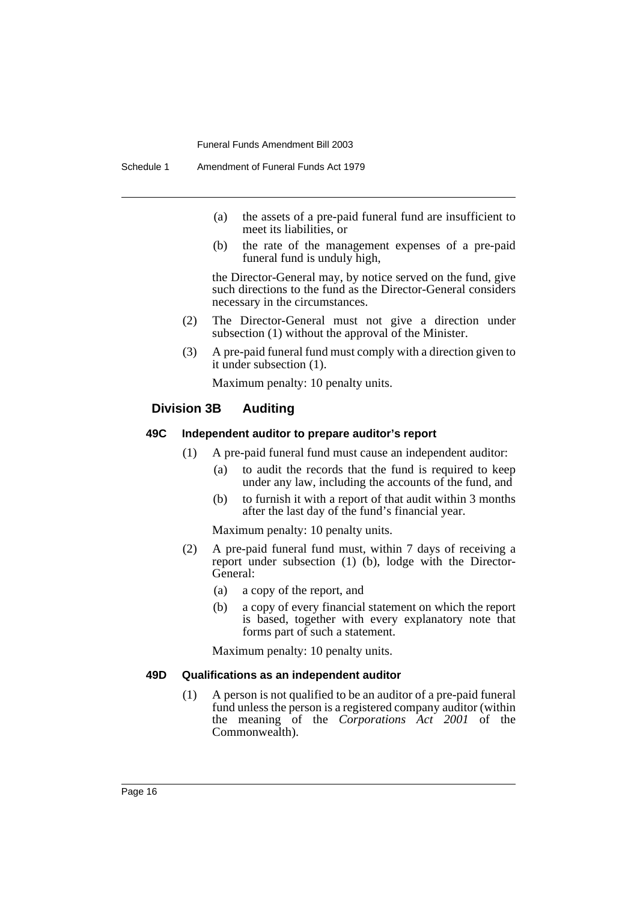- (a) the assets of a pre-paid funeral fund are insufficient to meet its liabilities, or
- (b) the rate of the management expenses of a pre-paid funeral fund is unduly high,

the Director-General may, by notice served on the fund, give such directions to the fund as the Director-General considers necessary in the circumstances.

- (2) The Director-General must not give a direction under subsection (1) without the approval of the Minister.
- (3) A pre-paid funeral fund must comply with a direction given to it under subsection (1).

Maximum penalty: 10 penalty units.

## **Division 3B Auditing**

## **49C Independent auditor to prepare auditor's report**

- (1) A pre-paid funeral fund must cause an independent auditor:
	- (a) to audit the records that the fund is required to keep under any law, including the accounts of the fund, and
	- (b) to furnish it with a report of that audit within 3 months after the last day of the fund's financial year.

Maximum penalty: 10 penalty units.

- (2) A pre-paid funeral fund must, within 7 days of receiving a report under subsection (1) (b), lodge with the Director-General:
	- (a) a copy of the report, and
	- (b) a copy of every financial statement on which the report is based, together with every explanatory note that forms part of such a statement.

Maximum penalty: 10 penalty units.

## **49D Qualifications as an independent auditor**

(1) A person is not qualified to be an auditor of a pre-paid funeral fund unless the person is a registered company auditor (within the meaning of the *Corporations Act 2001* of the Commonwealth).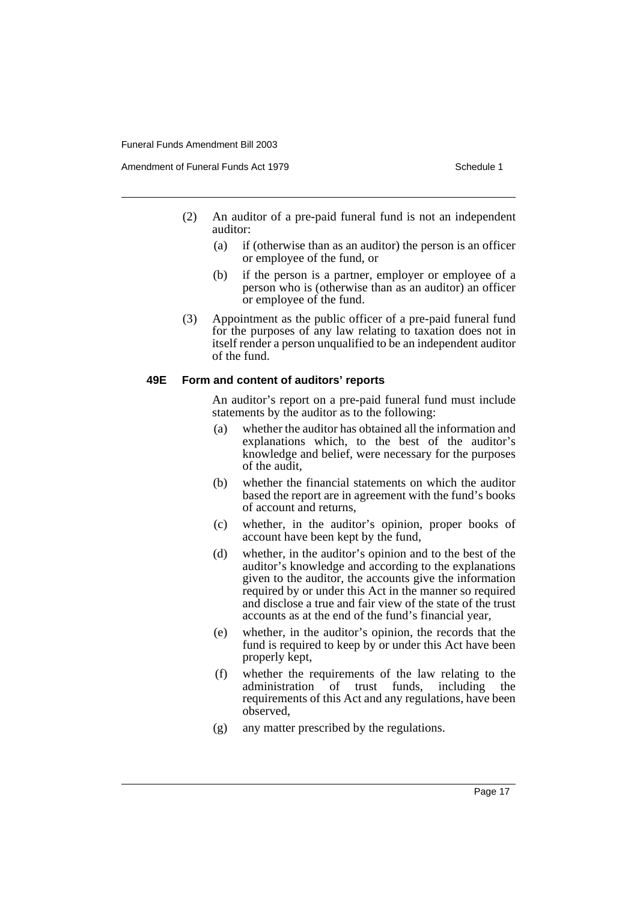- (2) An auditor of a pre-paid funeral fund is not an independent auditor:
	- (a) if (otherwise than as an auditor) the person is an officer or employee of the fund, or
	- (b) if the person is a partner, employer or employee of a person who is (otherwise than as an auditor) an officer or employee of the fund.
- (3) Appointment as the public officer of a pre-paid funeral fund for the purposes of any law relating to taxation does not in itself render a person unqualified to be an independent auditor of the fund.

#### **49E Form and content of auditors' reports**

An auditor's report on a pre-paid funeral fund must include statements by the auditor as to the following:

- (a) whether the auditor has obtained all the information and explanations which, to the best of the auditor's knowledge and belief, were necessary for the purposes of the audit,
- (b) whether the financial statements on which the auditor based the report are in agreement with the fund's books of account and returns,
- (c) whether, in the auditor's opinion, proper books of account have been kept by the fund,
- (d) whether, in the auditor's opinion and to the best of the auditor's knowledge and according to the explanations given to the auditor, the accounts give the information required by or under this Act in the manner so required and disclose a true and fair view of the state of the trust accounts as at the end of the fund's financial year,
- (e) whether, in the auditor's opinion, the records that the fund is required to keep by or under this Act have been properly kept,
- (f) whether the requirements of the law relating to the administration of trust funds, including the requirements of this Act and any regulations, have been observed,
- (g) any matter prescribed by the regulations.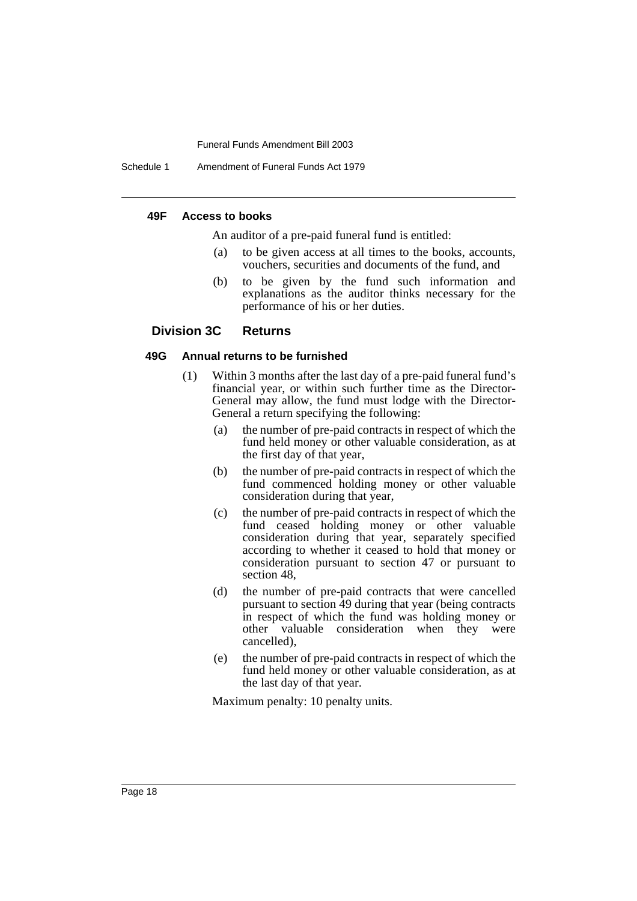Schedule 1 Amendment of Funeral Funds Act 1979

#### **49F Access to books**

An auditor of a pre-paid funeral fund is entitled:

- (a) to be given access at all times to the books, accounts, vouchers, securities and documents of the fund, and
- (b) to be given by the fund such information and explanations as the auditor thinks necessary for the performance of his or her duties.

## **Division 3C Returns**

## **49G Annual returns to be furnished**

- (1) Within 3 months after the last day of a pre-paid funeral fund's financial year, or within such further time as the Director-General may allow, the fund must lodge with the Director-General a return specifying the following:
	- (a) the number of pre-paid contracts in respect of which the fund held money or other valuable consideration, as at the first day of that year,
	- (b) the number of pre-paid contracts in respect of which the fund commenced holding money or other valuable consideration during that year,
	- (c) the number of pre-paid contracts in respect of which the fund ceased holding money or other valuable consideration during that year, separately specified according to whether it ceased to hold that money or consideration pursuant to section 47 or pursuant to section 48,
	- (d) the number of pre-paid contracts that were cancelled pursuant to section 49 during that year (being contracts in respect of which the fund was holding money or other valuable consideration when they were cancelled),
	- (e) the number of pre-paid contracts in respect of which the fund held money or other valuable consideration, as at the last day of that year.

Maximum penalty: 10 penalty units.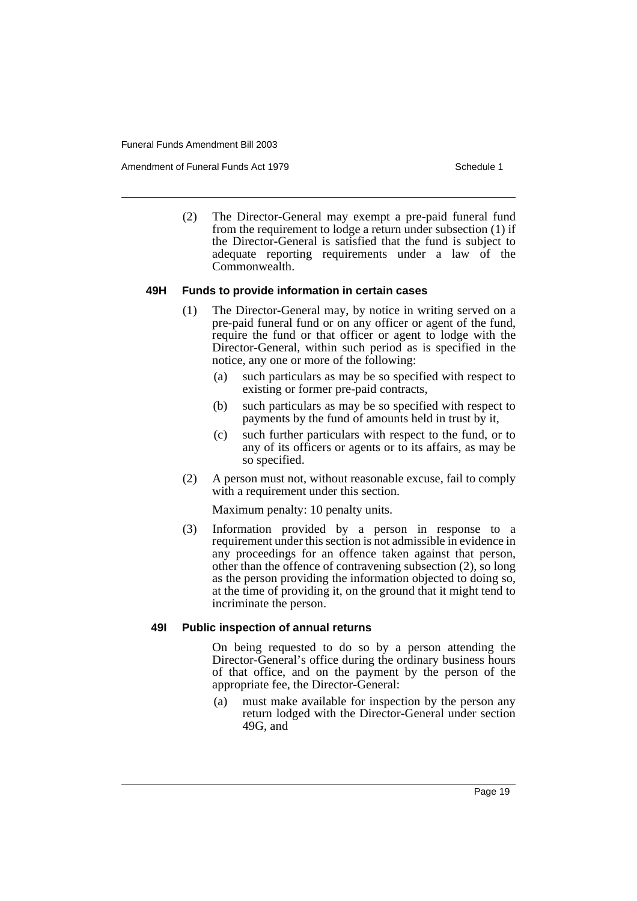Amendment of Funeral Funds Act 1979 Schedule 1

(2) The Director-General may exempt a pre-paid funeral fund from the requirement to lodge a return under subsection (1) if the Director-General is satisfied that the fund is subject to adequate reporting requirements under a law of the Commonwealth.

## **49H Funds to provide information in certain cases**

- (1) The Director-General may, by notice in writing served on a pre-paid funeral fund or on any officer or agent of the fund, require the fund or that officer or agent to lodge with the Director-General, within such period as is specified in the notice, any one or more of the following:
	- (a) such particulars as may be so specified with respect to existing or former pre-paid contracts,
	- (b) such particulars as may be so specified with respect to payments by the fund of amounts held in trust by it,
	- (c) such further particulars with respect to the fund, or to any of its officers or agents or to its affairs, as may be so specified.
- (2) A person must not, without reasonable excuse, fail to comply with a requirement under this section.

Maximum penalty: 10 penalty units.

(3) Information provided by a person in response to a requirement under this section is not admissible in evidence in any proceedings for an offence taken against that person, other than the offence of contravening subsection (2), so long as the person providing the information objected to doing so, at the time of providing it, on the ground that it might tend to incriminate the person.

## **49I Public inspection of annual returns**

On being requested to do so by a person attending the Director-General's office during the ordinary business hours of that office, and on the payment by the person of the appropriate fee, the Director-General:

(a) must make available for inspection by the person any return lodged with the Director-General under section 49G, and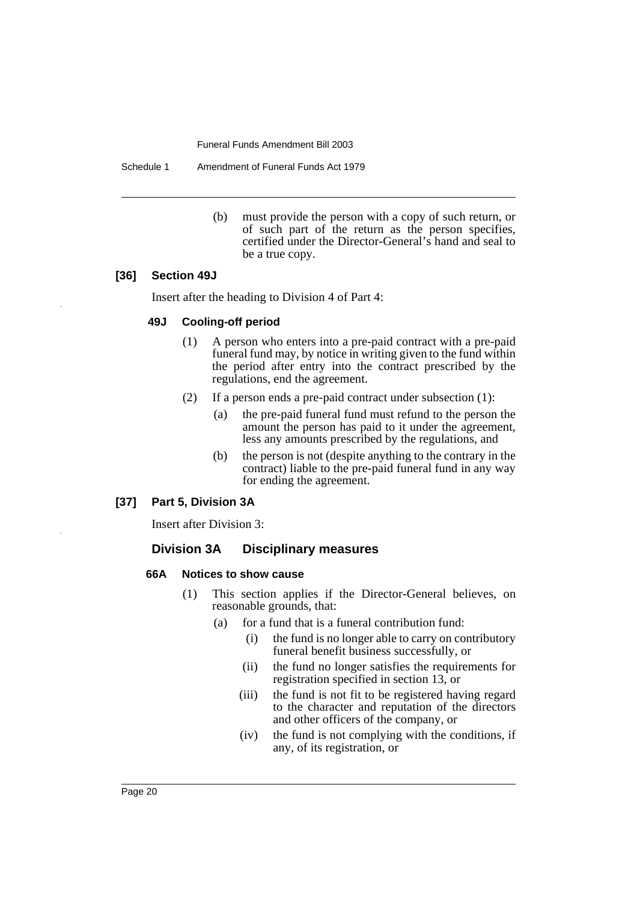Schedule 1 Amendment of Funeral Funds Act 1979

(b) must provide the person with a copy of such return, or of such part of the return as the person specifies, certified under the Director-General's hand and seal to be a true copy.

## **[36] Section 49J**

Insert after the heading to Division 4 of Part 4:

#### **49J Cooling-off period**

- (1) A person who enters into a pre-paid contract with a pre-paid funeral fund may, by notice in writing given to the fund within the period after entry into the contract prescribed by the regulations, end the agreement.
- (2) If a person ends a pre-paid contract under subsection (1):
	- (a) the pre-paid funeral fund must refund to the person the amount the person has paid to it under the agreement, less any amounts prescribed by the regulations, and
	- (b) the person is not (despite anything to the contrary in the contract) liable to the pre-paid funeral fund in any way for ending the agreement.

## **[37] Part 5, Division 3A**

Insert after Division 3:

## **Division 3A Disciplinary measures**

#### **66A Notices to show cause**

- (1) This section applies if the Director-General believes, on reasonable grounds, that:
	- (a) for a fund that is a funeral contribution fund:
		- (i) the fund is no longer able to carry on contributory funeral benefit business successfully, or
		- (ii) the fund no longer satisfies the requirements for registration specified in section 13, or
		- (iii) the fund is not fit to be registered having regard to the character and reputation of the directors and other officers of the company, or
		- (iv) the fund is not complying with the conditions, if any, of its registration, or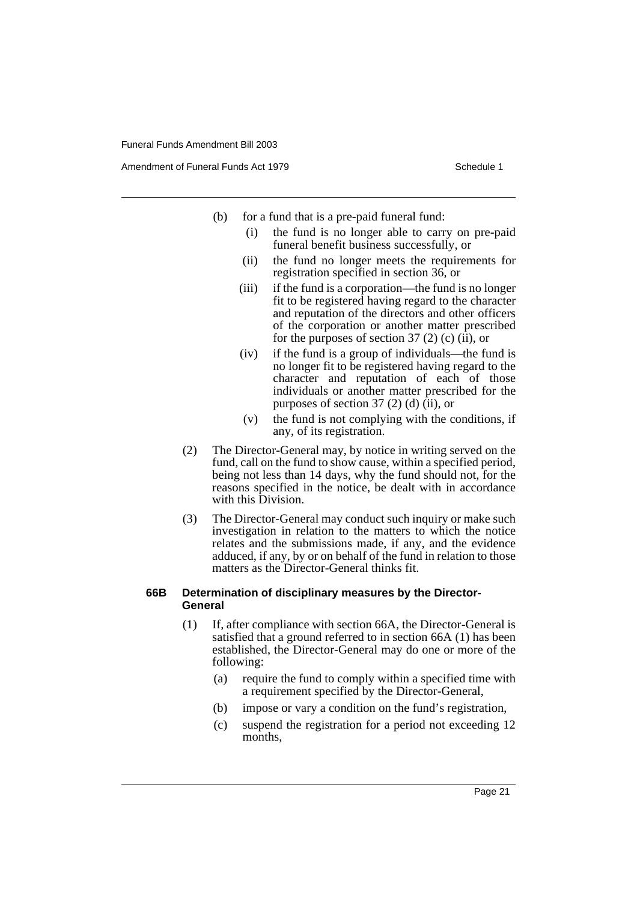Amendment of Funeral Funds Act 1979 Schedule 1

- (b) for a fund that is a pre-paid funeral fund:
	- (i) the fund is no longer able to carry on pre-paid funeral benefit business successfully, or
	- (ii) the fund no longer meets the requirements for registration specified in section 36, or
	- (iii) if the fund is a corporation—the fund is no longer fit to be registered having regard to the character and reputation of the directors and other officers of the corporation or another matter prescribed for the purposes of section 37 (2) (c)  $(ii)$ , or
	- (iv) if the fund is a group of individuals—the fund is no longer fit to be registered having regard to the character and reputation of each of those individuals or another matter prescribed for the purposes of section 37 (2) (d) (ii), or
	- (v) the fund is not complying with the conditions, if any, of its registration.
- (2) The Director-General may, by notice in writing served on the fund, call on the fund to show cause, within a specified period, being not less than 14 days, why the fund should not, for the reasons specified in the notice, be dealt with in accordance with this Division.
- (3) The Director-General may conduct such inquiry or make such investigation in relation to the matters to which the notice relates and the submissions made, if any, and the evidence adduced, if any, by or on behalf of the fund in relation to those matters as the Director-General thinks fit.

## **66B Determination of disciplinary measures by the Director-General**

- (1) If, after compliance with section 66A, the Director-General is satisfied that a ground referred to in section 66A (1) has been established, the Director-General may do one or more of the following:
	- (a) require the fund to comply within a specified time with a requirement specified by the Director-General,
	- (b) impose or vary a condition on the fund's registration,
	- (c) suspend the registration for a period not exceeding 12 months,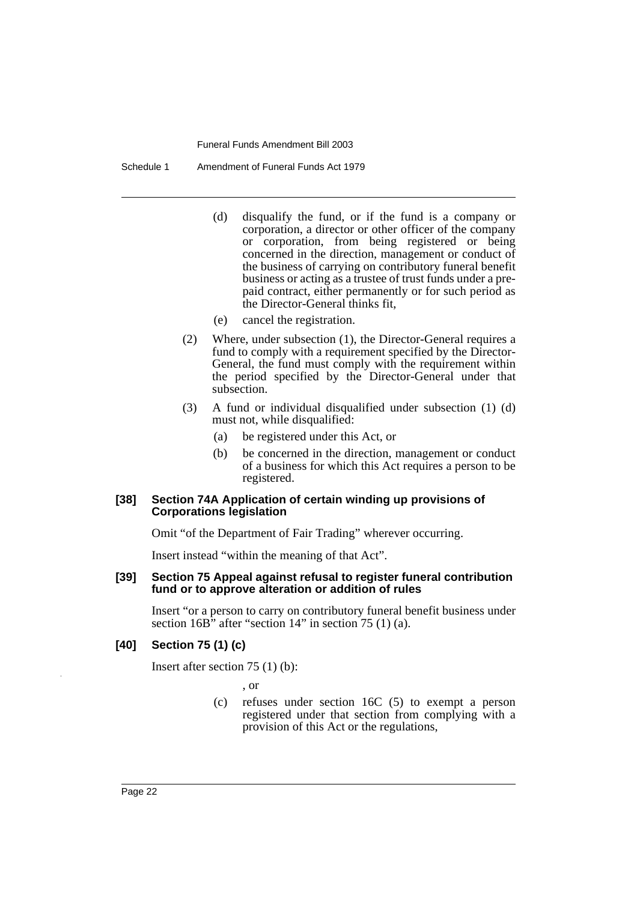Schedule 1 Amendment of Funeral Funds Act 1979

- (d) disqualify the fund, or if the fund is a company or corporation, a director or other officer of the company or corporation, from being registered or being concerned in the direction, management or conduct of the business of carrying on contributory funeral benefit business or acting as a trustee of trust funds under a prepaid contract, either permanently or for such period as the Director-General thinks fit,
- (e) cancel the registration.
- (2) Where, under subsection (1), the Director-General requires a fund to comply with a requirement specified by the Director-General, the fund must comply with the requirement within the period specified by the Director-General under that subsection.
- (3) A fund or individual disqualified under subsection (1) (d) must not, while disqualified:
	- (a) be registered under this Act, or
	- (b) be concerned in the direction, management or conduct of a business for which this Act requires a person to be registered.

## **[38] Section 74A Application of certain winding up provisions of Corporations legislation**

Omit "of the Department of Fair Trading" wherever occurring.

Insert instead "within the meaning of that Act".

#### **[39] Section 75 Appeal against refusal to register funeral contribution fund or to approve alteration or addition of rules**

Insert "or a person to carry on contributory funeral benefit business under section  $16B^{\prime\prime}$  after "section  $14$ " in section 75 (1) (a).

## **[40] Section 75 (1) (c)**

Insert after section 75 (1) (b):

, or

(c) refuses under section 16C (5) to exempt a person registered under that section from complying with a provision of this Act or the regulations,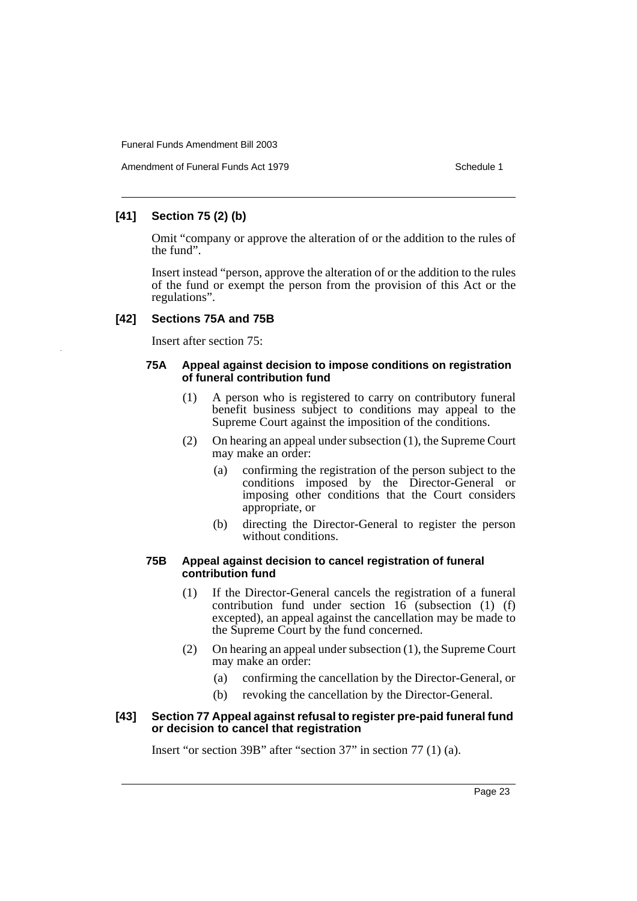## **[41] Section 75 (2) (b)**

Omit "company or approve the alteration of or the addition to the rules of the fund".

Insert instead "person, approve the alteration of or the addition to the rules of the fund or exempt the person from the provision of this Act or the regulations".

## **[42] Sections 75A and 75B**

Insert after section 75:

## **75A Appeal against decision to impose conditions on registration of funeral contribution fund**

- (1) A person who is registered to carry on contributory funeral benefit business subject to conditions may appeal to the Supreme Court against the imposition of the conditions.
- (2) On hearing an appeal under subsection (1), the Supreme Court may make an order:
	- (a) confirming the registration of the person subject to the conditions imposed by the Director-General or imposing other conditions that the Court considers appropriate, or
	- (b) directing the Director-General to register the person without conditions.

### **75B Appeal against decision to cancel registration of funeral contribution fund**

- (1) If the Director-General cancels the registration of a funeral contribution fund under section  $16$  (subsection  $(1)$   $(f)$ ) excepted), an appeal against the cancellation may be made to the Supreme Court by the fund concerned.
- (2) On hearing an appeal under subsection (1), the Supreme Court may make an order:
	- (a) confirming the cancellation by the Director-General, or
	- (b) revoking the cancellation by the Director-General.

## **[43] Section 77 Appeal against refusal to register pre-paid funeral fund or decision to cancel that registration**

Insert "or section 39B" after "section 37" in section 77 (1) (a).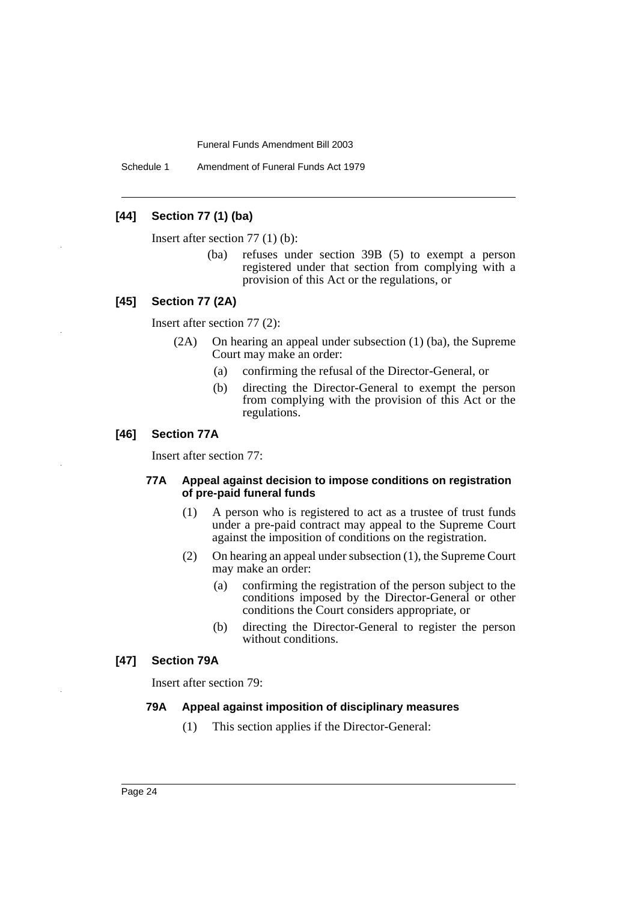Schedule 1 Amendment of Funeral Funds Act 1979

## **[44] Section 77 (1) (ba)**

Insert after section 77 (1) (b):

(ba) refuses under section 39B (5) to exempt a person registered under that section from complying with a provision of this Act or the regulations, or

## **[45] Section 77 (2A)**

Insert after section 77 (2):

- (2A) On hearing an appeal under subsection (1) (ba), the Supreme Court may make an order:
	- (a) confirming the refusal of the Director-General, or
	- (b) directing the Director-General to exempt the person from complying with the provision of this Act or the regulations.

## **[46] Section 77A**

Insert after section 77:

#### **77A Appeal against decision to impose conditions on registration of pre-paid funeral funds**

- (1) A person who is registered to act as a trustee of trust funds under a pre-paid contract may appeal to the Supreme Court against the imposition of conditions on the registration.
- (2) On hearing an appeal under subsection (1), the Supreme Court may make an order:
	- (a) confirming the registration of the person subject to the conditions imposed by the Director-General or other conditions the Court considers appropriate, or
	- (b) directing the Director-General to register the person without conditions.

#### **[47] Section 79A**

Insert after section 79:

#### **79A Appeal against imposition of disciplinary measures**

(1) This section applies if the Director-General: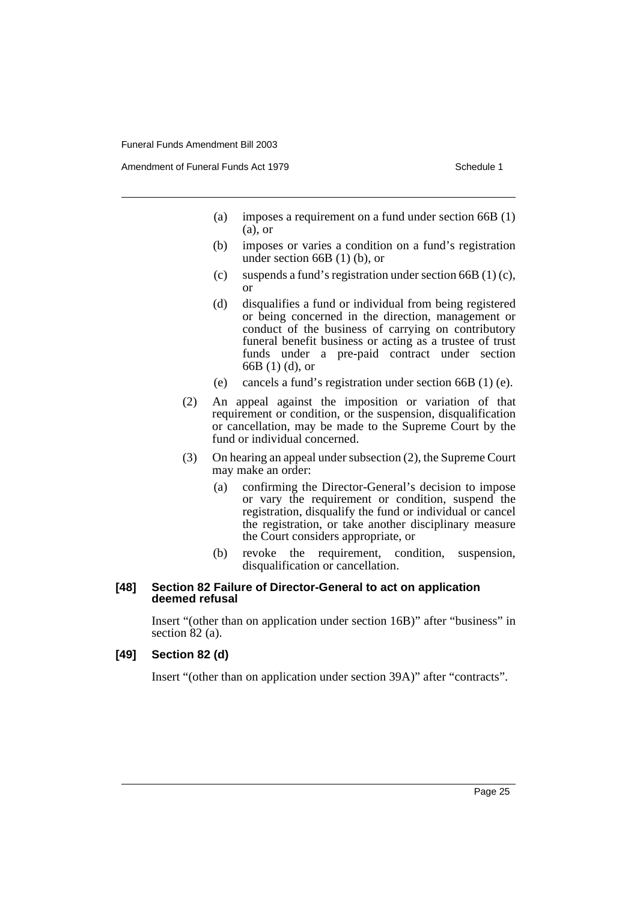Amendment of Funeral Funds Act 1979 Schedule 1

- (a) imposes a requirement on a fund under section 66B (1) (a), or
- (b) imposes or varies a condition on a fund's registration under section 66B (1) (b), or
- (c) suspends a fund's registration under section  $66B(1)(c)$ , or
- (d) disqualifies a fund or individual from being registered or being concerned in the direction, management or conduct of the business of carrying on contributory funeral benefit business or acting as a trustee of trust funds under a pre-paid contract under section 66B (1) (d), or
- (e) cancels a fund's registration under section 66B (1) (e).
- (2) An appeal against the imposition or variation of that requirement or condition, or the suspension, disqualification or cancellation, may be made to the Supreme Court by the fund or individual concerned.
- (3) On hearing an appeal under subsection (2), the Supreme Court may make an order:
	- (a) confirming the Director-General's decision to impose or vary the requirement or condition, suspend the registration, disqualify the fund or individual or cancel the registration, or take another disciplinary measure the Court considers appropriate, or
	- (b) revoke the requirement, condition, suspension, disqualification or cancellation.

#### **[48] Section 82 Failure of Director-General to act on application deemed refusal**

Insert "(other than on application under section 16B)" after "business" in section 82 (a).

## **[49] Section 82 (d)**

Insert "(other than on application under section 39A)" after "contracts".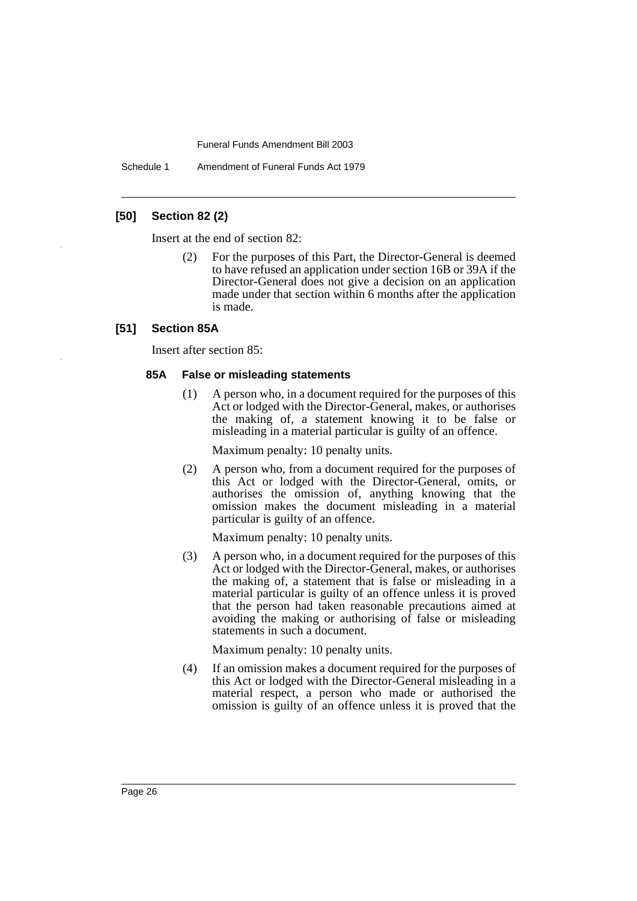Schedule 1 Amendment of Funeral Funds Act 1979

## **[50] Section 82 (2)**

Insert at the end of section 82:

(2) For the purposes of this Part, the Director-General is deemed to have refused an application under section 16B or 39A if the Director-General does not give a decision on an application made under that section within 6 months after the application is made.

## **[51] Section 85A**

Insert after section 85:

#### **85A False or misleading statements**

(1) A person who, in a document required for the purposes of this Act or lodged with the Director-General, makes, or authorises the making of, a statement knowing it to be false or misleading in a material particular is guilty of an offence.

Maximum penalty: 10 penalty units.

(2) A person who, from a document required for the purposes of this Act or lodged with the Director-General, omits, or authorises the omission of, anything knowing that the omission makes the document misleading in a material particular is guilty of an offence.

Maximum penalty: 10 penalty units.

(3) A person who, in a document required for the purposes of this Act or lodged with the Director-General, makes, or authorises the making of, a statement that is false or misleading in a material particular is guilty of an offence unless it is proved that the person had taken reasonable precautions aimed at avoiding the making or authorising of false or misleading statements in such a document.

Maximum penalty: 10 penalty units.

(4) If an omission makes a document required for the purposes of this Act or lodged with the Director-General misleading in a material respect, a person who made or authorised the omission is guilty of an offence unless it is proved that the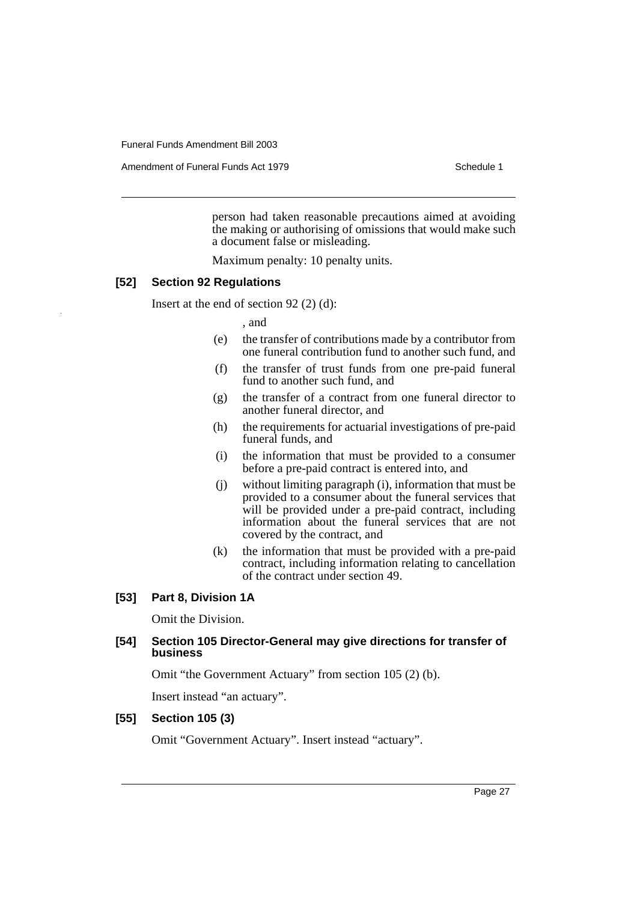Amendment of Funeral Funds Act 1979 Schedule 1

person had taken reasonable precautions aimed at avoiding the making or authorising of omissions that would make such a document false or misleading.

Maximum penalty: 10 penalty units.

#### **[52] Section 92 Regulations**

Insert at the end of section 92 (2) (d):

, and

- (e) the transfer of contributions made by a contributor from one funeral contribution fund to another such fund, and
- (f) the transfer of trust funds from one pre-paid funeral fund to another such fund, and
- (g) the transfer of a contract from one funeral director to another funeral director, and
- (h) the requirements for actuarial investigations of pre-paid funeral funds, and
- (i) the information that must be provided to a consumer before a pre-paid contract is entered into, and
- (j) without limiting paragraph (i), information that must be provided to a consumer about the funeral services that will be provided under a pre-paid contract, including information about the funeral services that are not covered by the contract, and
- (k) the information that must be provided with a pre-paid contract, including information relating to cancellation of the contract under section 49.

#### **[53] Part 8, Division 1A**

Omit the Division.

## **[54] Section 105 Director-General may give directions for transfer of business**

Omit "the Government Actuary" from section 105 (2) (b).

Insert instead "an actuary".

## **[55] Section 105 (3)**

Omit "Government Actuary". Insert instead "actuary".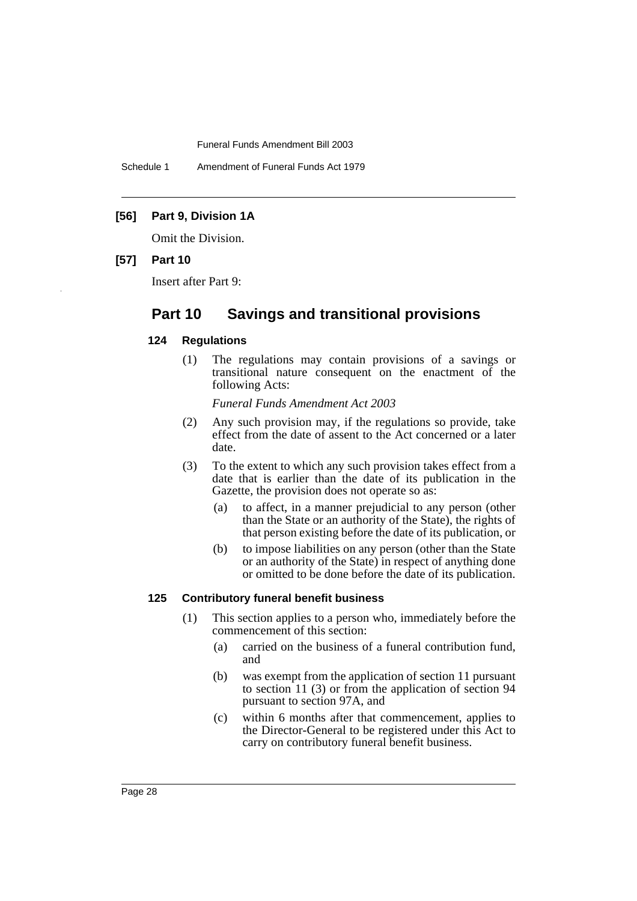Schedule 1 Amendment of Funeral Funds Act 1979

## **[56] Part 9, Division 1A**

Omit the Division.

## **[57] Part 10**

Insert after Part 9:

# **Part 10 Savings and transitional provisions**

#### **124 Regulations**

(1) The regulations may contain provisions of a savings or transitional nature consequent on the enactment of the following Acts:

*Funeral Funds Amendment Act 2003*

- (2) Any such provision may, if the regulations so provide, take effect from the date of assent to the Act concerned or a later date.
- (3) To the extent to which any such provision takes effect from a date that is earlier than the date of its publication in the Gazette, the provision does not operate so as:
	- (a) to affect, in a manner prejudicial to any person (other than the State or an authority of the State), the rights of that person existing before the date of its publication, or
	- (b) to impose liabilities on any person (other than the State or an authority of the State) in respect of anything done or omitted to be done before the date of its publication.

### **125 Contributory funeral benefit business**

- (1) This section applies to a person who, immediately before the commencement of this section:
	- (a) carried on the business of a funeral contribution fund, and
	- (b) was exempt from the application of section 11 pursuant to section 11 (3) or from the application of section 94 pursuant to section 97A, and
	- (c) within 6 months after that commencement, applies to the Director-General to be registered under this Act to carry on contributory funeral benefit business.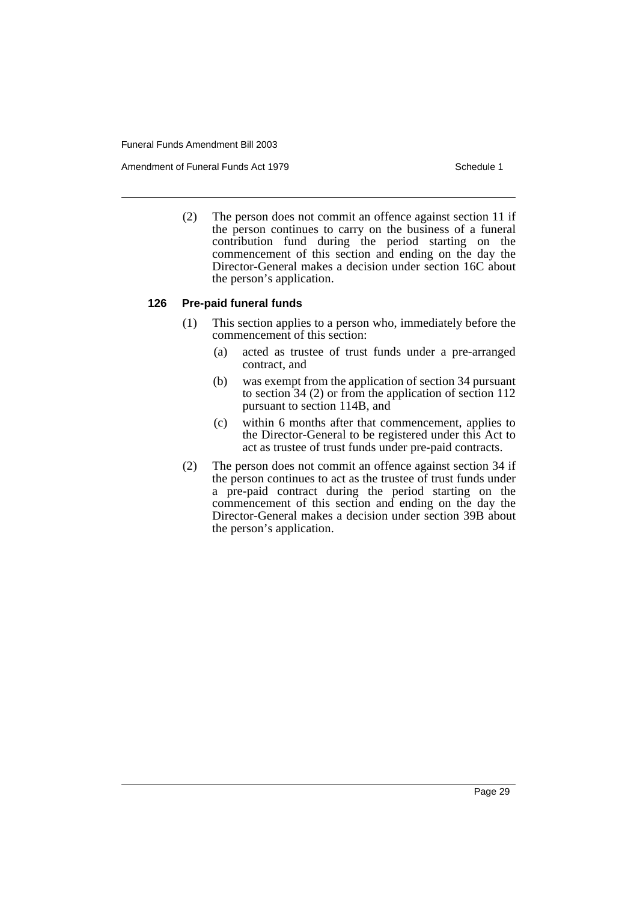Amendment of Funeral Funds Act 1979 Schedule 1

(2) The person does not commit an offence against section 11 if the person continues to carry on the business of a funeral contribution fund during the period starting on the commencement of this section and ending on the day the Director-General makes a decision under section 16C about the person's application.

## **126 Pre-paid funeral funds**

- (1) This section applies to a person who, immediately before the commencement of this section:
	- (a) acted as trustee of trust funds under a pre-arranged contract, and
	- (b) was exempt from the application of section 34 pursuant to section 34 (2) or from the application of section 112 pursuant to section 114B, and
	- (c) within 6 months after that commencement, applies to the Director-General to be registered under this Act to act as trustee of trust funds under pre-paid contracts.
- (2) The person does not commit an offence against section 34 if the person continues to act as the trustee of trust funds under a pre-paid contract during the period starting on the commencement of this section and ending on the day the Director-General makes a decision under section 39B about the person's application.